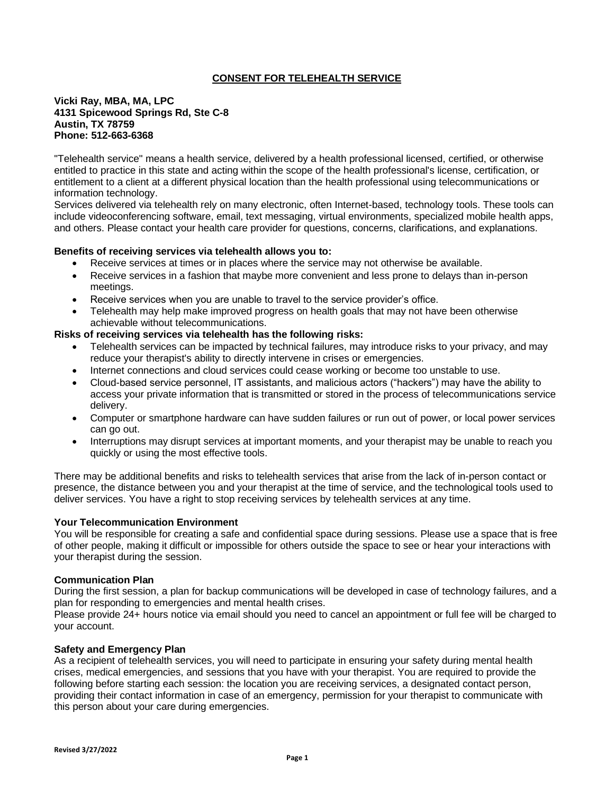# **CONSENT FOR TELEHEALTH SERVICE**

### **Vicki Ray, MBA, MA, LPC 4131 Spicewood Springs Rd, Ste C-8 Austin, TX 78759 Phone: 512-663-6368**

"Telehealth service" means a health service, delivered by a health professional licensed, certified, or otherwise entitled to practice in this state and acting within the scope of the health professional's license, certification, or entitlement to a client at a different physical location than the health professional using telecommunications or information technology.

Services delivered via telehealth rely on many electronic, often Internet-based, technology tools. These tools can include videoconferencing software, email, text messaging, virtual environments, specialized mobile health apps, and others. Please contact your health care provider for questions, concerns, clarifications, and explanations.

## **Benefits of receiving services via telehealth allows you to:**

- Receive services at times or in places where the service may not otherwise be available.
- Receive services in a fashion that maybe more convenient and less prone to delays than in-person meetings.
- Receive services when you are unable to travel to the service provider's office.
- Telehealth may help make improved progress on health goals that may not have been otherwise achievable without telecommunications.

### **Risks of receiving services via telehealth has the following risks:**

- Telehealth services can be impacted by technical failures, may introduce risks to your privacy, and may reduce your therapist's ability to directly intervene in crises or emergencies.
- Internet connections and cloud services could cease working or become too unstable to use.
- Cloud-based service personnel, IT assistants, and malicious actors ("hackers") may have the ability to access your private information that is transmitted or stored in the process of telecommunications service delivery.
- Computer or smartphone hardware can have sudden failures or run out of power, or local power services can go out.
- Interruptions may disrupt services at important moments, and your therapist may be unable to reach you quickly or using the most effective tools.

There may be additional benefits and risks to telehealth services that arise from the lack of in-person contact or presence, the distance between you and your therapist at the time of service, and the technological tools used to deliver services. You have a right to stop receiving services by telehealth services at any time.

## **Your Telecommunication Environment**

You will be responsible for creating a safe and confidential space during sessions. Please use a space that is free of other people, making it difficult or impossible for others outside the space to see or hear your interactions with your therapist during the session.

#### **Communication Plan**

During the first session, a plan for backup communications will be developed in case of technology failures, and a plan for responding to emergencies and mental health crises.

Please provide 24+ hours notice via email should you need to cancel an appointment or full fee will be charged to your account.

#### **Safety and Emergency Plan**

As a recipient of telehealth services, you will need to participate in ensuring your safety during mental health crises, medical emergencies, and sessions that you have with your therapist. You are required to provide the following before starting each session: the location you are receiving services, a designated contact person, providing their contact information in case of an emergency, permission for your therapist to communicate with this person about your care during emergencies.